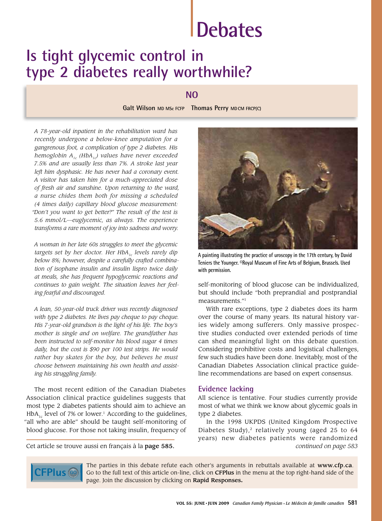# **Debates**

# **Is tight glycemic control in type 2 diabetes really worthwhile?**

# **NO**

**Galt Wilson MD MSc FCFP Thomas Perry MDCM FRCP(C)**

*A 78-year-old inpatient in the rehabilitation ward has recently undergone a below-knee amputation for a gangrenous foot, a complication of type 2 diabetes. His hemoglobin A1c (HbA1c) values have never exceeded 7.5% and are usually less than 7%. A stroke last year left him dysphasic. He has never had a coronary event. A visitor has taken him for a much-appreciated dose of fresh air and sunshine. Upon returning to the ward, a nurse chides them both for missing a scheduled (4 times daily) capillary blood glucose measurement: "Don't you want to get better?" The result of the test is 5.6 mmol/L—euglycemic, as always. The experience transforms a rare moment of joy into sadness and worry.*

*A woman in her late 60s struggles to meet the glycemic*  targets set by her doctor. Her HbA<sub>1c</sub> levels rarely dip *below 8%; however, despite a carefully crafted combination of isophane insulin and insulin lispro twice daily at meals, she has frequent hypoglycemic reactions and continues to gain weight. The situation leaves her feeling fearful and discouraged.*

*A lean, 50-year-old truck driver was recently diagnosed with type 2 diabetes. He lives pay cheque to pay cheque. His 7-year-old grandson is the light of his life. The boy's mother is single and on welfare. The grandfather has been instructed to self-monitor his blood sugar 4 times daily, but the cost is \$90 per 100 test strips. He would rather buy skates for the boy, but believes he must choose between maintaining his own health and assisting his struggling family.*

The most recent edition of the Canadian Diabetes Association clinical practice guidelines suggests that most type 2 diabetes patients should aim to achieve an  $HbA_{1c}$  level of 7% or lower.<sup>1</sup> According to the guidelines, "all who are able" should be taught self-monitoring of blood glucose. For those not taking insulin, frequency of



**A painting illustrating the practice of uroscopy in the 17th century, by David Teniers the Younger. ©Royal Museum of Fine Arts of Belgium, Brussels. Used with permission.**

self-monitoring of blood glucose can be individualized, but should include "both preprandial and postprandial measurements."1

With rare exceptions, type 2 diabetes does its harm over the course of many years. Its natural history varies widely among sufferers. Only massive prospective studies conducted over extended periods of time can shed meaningful light on this debate question. Considering prohibitive costs and logistical challenges, few such studies have been done. Inevitably, most of the Canadian Diabetes Association clinical practice guideline recommendations are based on expert consensus.

### **Evidence lacking**

All science is tentative. Four studies currently provide most of what we think we know about glycemic goals in type 2 diabetes.

In the 1998 UKPDS (United Kingdom Prospective Diabetes Study), $2$  relatively young (aged 25 to 64 years) new diabetes patients were randomized Cet article se trouve aussi en français à la page 585. *continued on page 583*



The parties in this debate refute each other's arguments in rebuttals available at www.cfp.ca. Go to the full text of this article on-line, click on CFPlus in the menu at the top right-hand side of the page. Join the discussion by clicking on Rapid Responses**.**

available at **www.cfp.ca**. Click on **CFPlus** to the right of the article or abstract. The article or abstract.